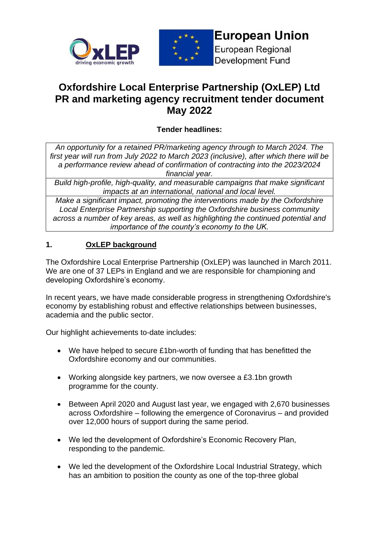



# **European Union**

European Regional **Development Fund** 

# **Oxfordshire Local Enterprise Partnership (OxLEP) Ltd PR and marketing agency recruitment tender document May 2022**

# **Tender headlines:**

*An opportunity for a retained PR/marketing agency through to March 2024. The first year will run from July 2022 to March 2023 (inclusive), after which there will be a performance review ahead of confirmation of contracting into the 2023/2024 financial year.* 

*Build high-profile, high-quality, and measurable campaigns that make significant impacts at an international, national and local level.*

*Make a significant impact, promoting the interventions made by the Oxfordshire Local Enterprise Partnership supporting the Oxfordshire business community across a number of key areas, as well as highlighting the continued potential and importance of the county's economy to the UK.*

## **1. OxLEP background**

The Oxfordshire Local Enterprise Partnership (OxLEP) was launched in March 2011. We are one of 37 LEPs in England and we are responsible for championing and developing Oxfordshire's economy.

In recent years, we have made considerable progress in strengthening Oxfordshire's economy by establishing robust and effective relationships between businesses, academia and the public sector.

Our highlight achievements to-date includes:

- We have helped to secure £1bn-worth of funding that has benefitted the Oxfordshire economy and our communities.
- Working alongside key partners, we now oversee a £3.1bn growth programme for the county.
- Between April 2020 and August last year, we engaged with 2,670 businesses across Oxfordshire – following the emergence of Coronavirus – and provided over 12,000 hours of support during the same period.
- We led the development of Oxfordshire's Economic Recovery Plan, responding to the pandemic.
- We led the development of the Oxfordshire Local Industrial Strategy, which has an ambition to position the county as one of the top-three global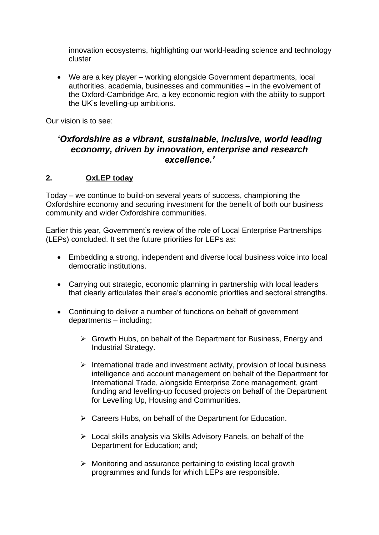innovation ecosystems, highlighting our world-leading science and technology cluster

• We are a key player – working alongside Government departments, local authorities, academia, businesses and communities – in the evolvement of the Oxford-Cambridge Arc, a key economic region with the ability to support the UK's levelling-up ambitions.

Our vision is to see:

# *'Oxfordshire as a vibrant, sustainable, inclusive, world leading economy, driven by innovation, enterprise and research excellence.'*

#### **2. OxLEP today**

Today – we continue to build-on several years of success, championing the Oxfordshire economy and securing investment for the benefit of both our business community and wider Oxfordshire communities.

Earlier this year, Government's review of the role of Local Enterprise Partnerships (LEPs) concluded. It set the future priorities for LEPs as:

- Embedding a strong, independent and diverse local business voice into local democratic institutions.
- Carrying out strategic, economic planning in partnership with local leaders that clearly articulates their area's economic priorities and sectoral strengths.
- Continuing to deliver a number of functions on behalf of government departments – including;
	- ➢ Growth Hubs, on behalf of the Department for Business, Energy and Industrial Strategy.
	- ➢ International trade and investment activity, provision of local business intelligence and account management on behalf of the Department for International Trade, alongside Enterprise Zone management, grant funding and levelling-up focused projects on behalf of the Department for Levelling Up, Housing and Communities.
	- ➢ Careers Hubs, on behalf of the Department for Education.
	- ➢ Local skills analysis via Skills Advisory Panels, on behalf of the Department for Education; and;
	- ➢ Monitoring and assurance pertaining to existing local growth programmes and funds for which LEPs are responsible.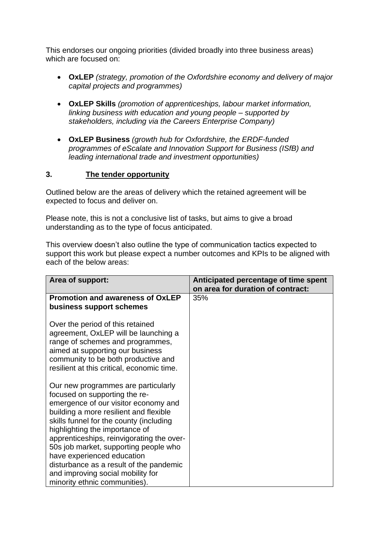This endorses our ongoing priorities (divided broadly into three business areas) which are focused on:

- **OxLEP** *(strategy, promotion of the Oxfordshire economy and delivery of major capital projects and programmes)*
- **OxLEP Skills** *(promotion of apprenticeships, labour market information, linking business with education and young people – supported by stakeholders, including via the Careers Enterprise Company)*
- **OxLEP Business** *(growth hub for Oxfordshire, the ERDF-funded programmes of eScalate and Innovation Support for Business (ISfB) and leading international trade and investment opportunities)*

#### **3. The tender opportunity**

Outlined below are the areas of delivery which the retained agreement will be expected to focus and deliver on.

Please note, this is not a conclusive list of tasks, but aims to give a broad understanding as to the type of focus anticipated.

This overview doesn't also outline the type of communication tactics expected to support this work but please expect a number outcomes and KPIs to be aligned with each of the below areas:

| Area of support:                                                                                                                                                                                                                                                                                                                                                                                                                                                         | Anticipated percentage of time spent |
|--------------------------------------------------------------------------------------------------------------------------------------------------------------------------------------------------------------------------------------------------------------------------------------------------------------------------------------------------------------------------------------------------------------------------------------------------------------------------|--------------------------------------|
|                                                                                                                                                                                                                                                                                                                                                                                                                                                                          | on area for duration of contract:    |
| <b>Promotion and awareness of OxLEP</b>                                                                                                                                                                                                                                                                                                                                                                                                                                  | 35%                                  |
| business support schemes                                                                                                                                                                                                                                                                                                                                                                                                                                                 |                                      |
| Over the period of this retained<br>agreement, OxLEP will be launching a<br>range of schemes and programmes,<br>aimed at supporting our business<br>community to be both productive and<br>resilient at this critical, economic time.                                                                                                                                                                                                                                    |                                      |
| Our new programmes are particularly<br>focused on supporting the re-<br>emergence of our visitor economy and<br>building a more resilient and flexible<br>skills funnel for the county (including<br>highlighting the importance of<br>apprenticeships, reinvigorating the over-<br>50s job market, supporting people who<br>have experienced education<br>disturbance as a result of the pandemic<br>and improving social mobility for<br>minority ethnic communities). |                                      |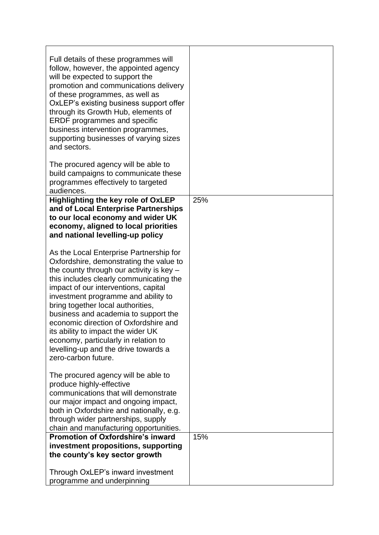| Full details of these programmes will<br>follow, however, the appointed agency<br>will be expected to support the<br>promotion and communications delivery<br>of these programmes, as well as<br>OxLEP's existing business support offer<br>through its Growth Hub, elements of<br><b>ERDF</b> programmes and specific<br>business intervention programmes,<br>supporting businesses of varying sizes<br>and sectors.                                                                                                         |     |
|-------------------------------------------------------------------------------------------------------------------------------------------------------------------------------------------------------------------------------------------------------------------------------------------------------------------------------------------------------------------------------------------------------------------------------------------------------------------------------------------------------------------------------|-----|
| The procured agency will be able to<br>build campaigns to communicate these<br>programmes effectively to targeted<br>audiences.                                                                                                                                                                                                                                                                                                                                                                                               |     |
| <b>Highlighting the key role of OxLEP</b><br>and of Local Enterprise Partnerships<br>to our local economy and wider UK<br>economy, aligned to local priorities<br>and national levelling-up policy                                                                                                                                                                                                                                                                                                                            | 25% |
| As the Local Enterprise Partnership for<br>Oxfordshire, demonstrating the value to<br>the county through our activity is $key -$<br>this includes clearly communicating the<br>impact of our interventions, capital<br>investment programme and ability to<br>bring together local authorities,<br>business and academia to support the<br>economic direction of Oxfordshire and<br>its ability to impact the wider UK<br>economy, particularly in relation to<br>levelling-up and the drive towards a<br>zero-carbon future. |     |
| The procured agency will be able to<br>produce highly-effective<br>communications that will demonstrate<br>our major impact and ongoing impact,<br>both in Oxfordshire and nationally, e.g.<br>through wider partnerships, supply<br>chain and manufacturing opportunities.                                                                                                                                                                                                                                                   |     |
| <b>Promotion of Oxfordshire's inward</b><br>investment propositions, supporting<br>the county's key sector growth                                                                                                                                                                                                                                                                                                                                                                                                             | 15% |
| Through OxLEP's inward investment<br>programme and underpinning                                                                                                                                                                                                                                                                                                                                                                                                                                                               |     |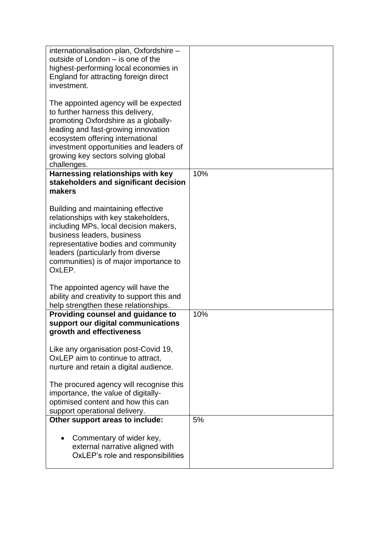| internationalisation plan, Oxfordshire -<br>outside of London – is one of the<br>highest-performing local economies in                                                                                                                                                                        |     |
|-----------------------------------------------------------------------------------------------------------------------------------------------------------------------------------------------------------------------------------------------------------------------------------------------|-----|
| England for attracting foreign direct<br>investment.                                                                                                                                                                                                                                          |     |
| The appointed agency will be expected<br>to further harness this delivery,<br>promoting Oxfordshire as a globally-<br>leading and fast-growing innovation<br>ecosystem offering international<br>investment opportunities and leaders of<br>growing key sectors solving global<br>challenges. |     |
| Harnessing relationships with key<br>stakeholders and significant decision<br>makers                                                                                                                                                                                                          | 10% |
| Building and maintaining effective<br>relationships with key stakeholders,<br>including MPs, local decision makers,<br>business leaders, business<br>representative bodies and community<br>leaders (particularly from diverse<br>communities) is of major importance to<br>OxLEP.            |     |
| The appointed agency will have the<br>ability and creativity to support this and<br>help strengthen these relationships.                                                                                                                                                                      |     |
| Providing counsel and guidance to<br>support our digital communications<br>growth and effectiveness                                                                                                                                                                                           | 10% |
| Like any organisation post-Covid 19,<br>OxLEP aim to continue to attract,<br>nurture and retain a digital audience.                                                                                                                                                                           |     |
| The procured agency will recognise this<br>importance, the value of digitally-<br>optimised content and how this can<br>support operational delivery.                                                                                                                                         |     |
| Other support areas to include:                                                                                                                                                                                                                                                               | 5%  |
| Commentary of wider key,<br>external narrative aligned with<br>OxLEP's role and responsibilities                                                                                                                                                                                              |     |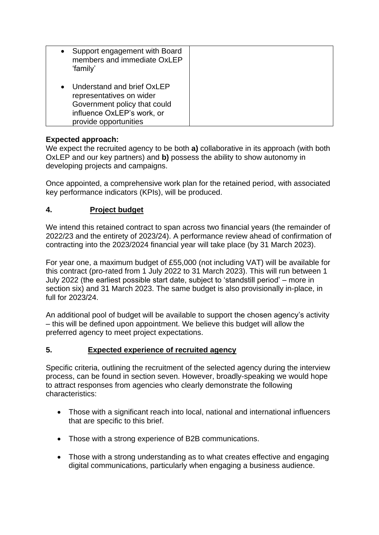| • Support engagement with Board<br>members and immediate OxLEP<br>'family'                                                                      |
|-------------------------------------------------------------------------------------------------------------------------------------------------|
| • Understand and brief OxLEP<br>representatives on wider<br>Government policy that could<br>influence OxLEP's work, or<br>provide opportunities |

#### **Expected approach:**

We expect the recruited agency to be both **a)** collaborative in its approach (with both OxLEP and our key partners) and **b)** possess the ability to show autonomy in developing projects and campaigns.

Once appointed, a comprehensive work plan for the retained period, with associated key performance indicators (KPIs), will be produced.

#### **4. Project budget**

We intend this retained contract to span across two financial years (the remainder of 2022/23 and the entirety of 2023/24). A performance review ahead of confirmation of contracting into the 2023/2024 financial year will take place (by 31 March 2023).

For year one, a maximum budget of £55,000 (not including VAT) will be available for this contract (pro-rated from 1 July 2022 to 31 March 2023). This will run between 1 July 2022 (the earliest possible start date, subject to 'standstill period' – more in section six) and 31 March 2023. The same budget is also provisionally in-place, in full for 2023/24.

An additional pool of budget will be available to support the chosen agency's activity – this will be defined upon appointment. We believe this budget will allow the preferred agency to meet project expectations.

#### **5. Expected experience of recruited agency**

Specific criteria, outlining the recruitment of the selected agency during the interview process, can be found in section seven. However, broadly-speaking we would hope to attract responses from agencies who clearly demonstrate the following characteristics:

- Those with a significant reach into local, national and international influencers that are specific to this brief.
- Those with a strong experience of B2B communications.
- Those with a strong understanding as to what creates effective and engaging digital communications, particularly when engaging a business audience.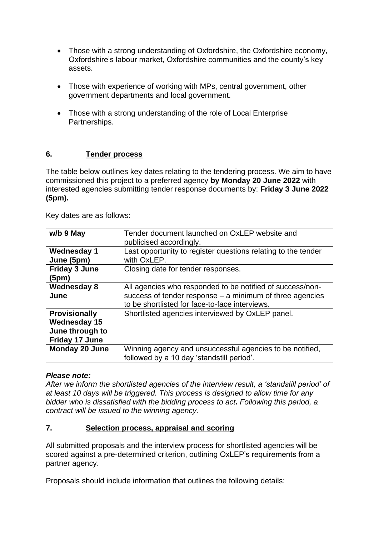- Those with a strong understanding of Oxfordshire, the Oxfordshire economy, Oxfordshire's labour market, Oxfordshire communities and the county's key assets.
- Those with experience of working with MPs, central government, other government departments and local government.
- Those with a strong understanding of the role of Local Enterprise Partnerships.

#### **6. Tender process**

The table below outlines key dates relating to the tendering process. We aim to have commissioned this project to a preferred agency **by Monday 20 June 2022** with interested agencies submitting tender response documents by: **Friday 3 June 2022 (5pm).**

| w/b 9 May             | Tender document launched on OxLEP website and<br>publicised accordingly. |
|-----------------------|--------------------------------------------------------------------------|
| <b>Wednesday 1</b>    | Last opportunity to register questions relating to the tender            |
| June (5pm)            | with OxLEP.                                                              |
| <b>Friday 3 June</b>  | Closing date for tender responses.                                       |
| (5pm)                 |                                                                          |
| <b>Wednesday 8</b>    | All agencies who responded to be notified of success/non-                |
| June                  | success of tender response $-$ a minimum of three agencies               |
|                       | to be shortlisted for face-to-face interviews.                           |
| <b>Provisionally</b>  | Shortlisted agencies interviewed by OxLEP panel.                         |
| <b>Wednesday 15</b>   |                                                                          |
| June through to       |                                                                          |
| Friday 17 June        |                                                                          |
| <b>Monday 20 June</b> | Winning agency and unsuccessful agencies to be notified,                 |
|                       | followed by a 10 day 'standstill period'.                                |

Key dates are as follows:

#### *Please note:*

*After we inform the shortlisted agencies of the interview result, a 'standstill period' of at least 10 days will be triggered. This process is designed to allow time for any bidder who is dissatisfied with the bidding process to act. Following this period, a contract will be issued to the winning agency.*

#### **7. Selection process, appraisal and scoring**

All submitted proposals and the interview process for shortlisted agencies will be scored against a pre-determined criterion, outlining OxLEP's requirements from a partner agency.

Proposals should include information that outlines the following details: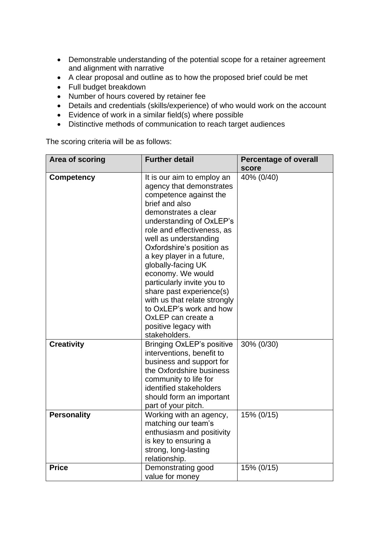- Demonstrable understanding of the potential scope for a retainer agreement and alignment with narrative
- A clear proposal and outline as to how the proposed brief could be met
- Full budget breakdown
- Number of hours covered by retainer fee
- Details and credentials (skills/experience) of who would work on the account
- Evidence of work in a similar field(s) where possible
- Distinctive methods of communication to reach target audiences

The scoring criteria will be as follows:

| Area of scoring    | <b>Further detail</b>                                                                                                                                                                                                                                                                                                                                                                                                                                         | <b>Percentage of overall</b> |
|--------------------|---------------------------------------------------------------------------------------------------------------------------------------------------------------------------------------------------------------------------------------------------------------------------------------------------------------------------------------------------------------------------------------------------------------------------------------------------------------|------------------------------|
|                    |                                                                                                                                                                                                                                                                                                                                                                                                                                                               | score                        |
| <b>Competency</b>  | It is our aim to employ an<br>agency that demonstrates<br>competence against the<br>brief and also<br>demonstrates a clear<br>understanding of OxLEP's<br>role and effectiveness, as<br>well as understanding<br>Oxfordshire's position as<br>a key player in a future,<br>globally-facing UK<br>economy. We would<br>particularly invite you to<br>share past experience(s)<br>with us that relate strongly<br>to OxLEP's work and how<br>OxLEP can create a | 40% (0/40)                   |
| <b>Creativity</b>  | positive legacy with<br>stakeholders.<br><b>Bringing OxLEP's positive</b><br>interventions, benefit to<br>business and support for<br>the Oxfordshire business<br>community to life for<br>identified stakeholders<br>should form an important                                                                                                                                                                                                                | 30% (0/30)                   |
| <b>Personality</b> | part of your pitch.<br>Working with an agency,<br>matching our team's<br>enthusiasm and positivity<br>is key to ensuring a<br>strong, long-lasting<br>relationship.                                                                                                                                                                                                                                                                                           | 15% (0/15)                   |
| <b>Price</b>       | Demonstrating good<br>value for money                                                                                                                                                                                                                                                                                                                                                                                                                         | 15% (0/15)                   |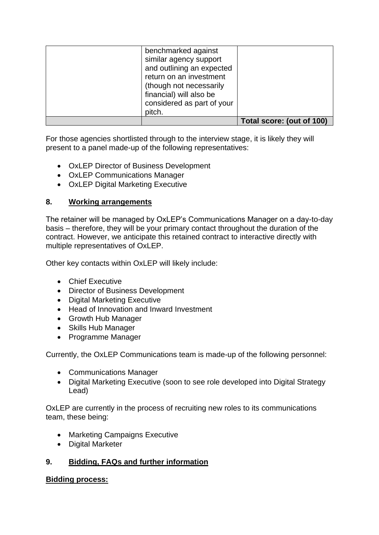| benchmarked against<br>similar agency support<br>and outlining an expected<br>return on an investment<br>(though not necessarily |                           |
|----------------------------------------------------------------------------------------------------------------------------------|---------------------------|
| financial) will also be<br>considered as part of your<br>pitch.                                                                  |                           |
|                                                                                                                                  | Total score: (out of 100) |

For those agencies shortlisted through to the interview stage, it is likely they will present to a panel made-up of the following representatives:

- OxLEP Director of Business Development
- OxLEP Communications Manager
- OxLEP Digital Marketing Executive

#### **8. Working arrangements**

The retainer will be managed by OxLEP's Communications Manager on a day-to-day basis – therefore, they will be your primary contact throughout the duration of the contract. However, we anticipate this retained contract to interactive directly with multiple representatives of OxLEP.

Other key contacts within OxLEP will likely include:

- Chief Executive
- Director of Business Development
- Digital Marketing Executive
- Head of Innovation and Inward Investment
- Growth Hub Manager
- Skills Hub Manager
- Programme Manager

Currently, the OxLEP Communications team is made-up of the following personnel:

- Communications Manager
- Digital Marketing Executive (soon to see role developed into Digital Strategy Lead)

OxLEP are currently in the process of recruiting new roles to its communications team, these being:

- Marketing Campaigns Executive
- Digital Marketer

## **9. Bidding, FAQs and further information**

#### **Bidding process:**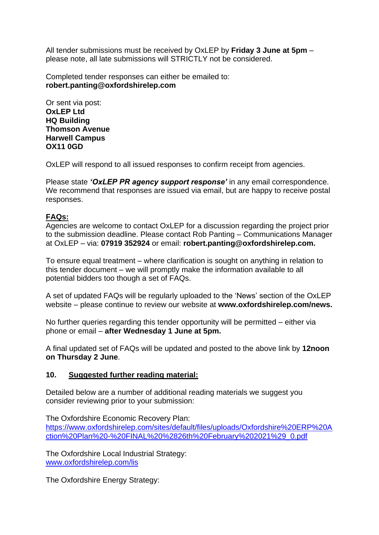All tender submissions must be received by OxLEP by **Friday 3 June at 5pm** – please note, all late submissions will STRICTLY not be considered.

Completed tender responses can either be emailed to: **robert.panting@oxfordshirelep.com**

Or sent via post: **OxLEP Ltd HQ Building Thomson Avenue Harwell Campus OX11 0GD**

OxLEP will respond to all issued responses to confirm receipt from agencies.

Please state *'OxLEP PR agency support response'* in any email correspondence. We recommend that responses are issued via email, but are happy to receive postal responses.

#### **FAQs:**

Agencies are welcome to contact OxLEP for a discussion regarding the project prior to the submission deadline. Please contact Rob Panting – Communications Manager at OxLEP – via: **07919 352924** or email: **robert.panting@oxfordshirelep.com.**

To ensure equal treatment – where clarification is sought on anything in relation to this tender document – we will promptly make the information available to all potential bidders too though a set of FAQs.

A set of updated FAQs will be regularly uploaded to the 'News' section of the OxLEP website – please continue to review our website at **www.oxfordshirelep.com/news.**

No further queries regarding this tender opportunity will be permitted – either via phone or email – **after Wednesday 1 June at 5pm.** 

A final updated set of FAQs will be updated and posted to the above link by **12noon on Thursday 2 June**.

#### **10. Suggested further reading material:**

Detailed below are a number of additional reading materials we suggest you consider reviewing prior to your submission:

The Oxfordshire Economic Recovery Plan: [https://www.oxfordshirelep.com/sites/default/files/uploads/Oxfordshire%20ERP%20A](https://www.oxfordshirelep.com/sites/default/files/uploads/Oxfordshire%20ERP%20Action%20Plan%20-%20FINAL%20%2826th%20February%202021%29_0.pdf) [ction%20Plan%20-%20FINAL%20%2826th%20February%202021%29\\_0.pdf](https://www.oxfordshirelep.com/sites/default/files/uploads/Oxfordshire%20ERP%20Action%20Plan%20-%20FINAL%20%2826th%20February%202021%29_0.pdf)

The Oxfordshire Local Industrial Strategy: [www.oxfordshirelep.com/lis](http://www.oxfordshirelep.com/lis)

The Oxfordshire Energy Strategy: